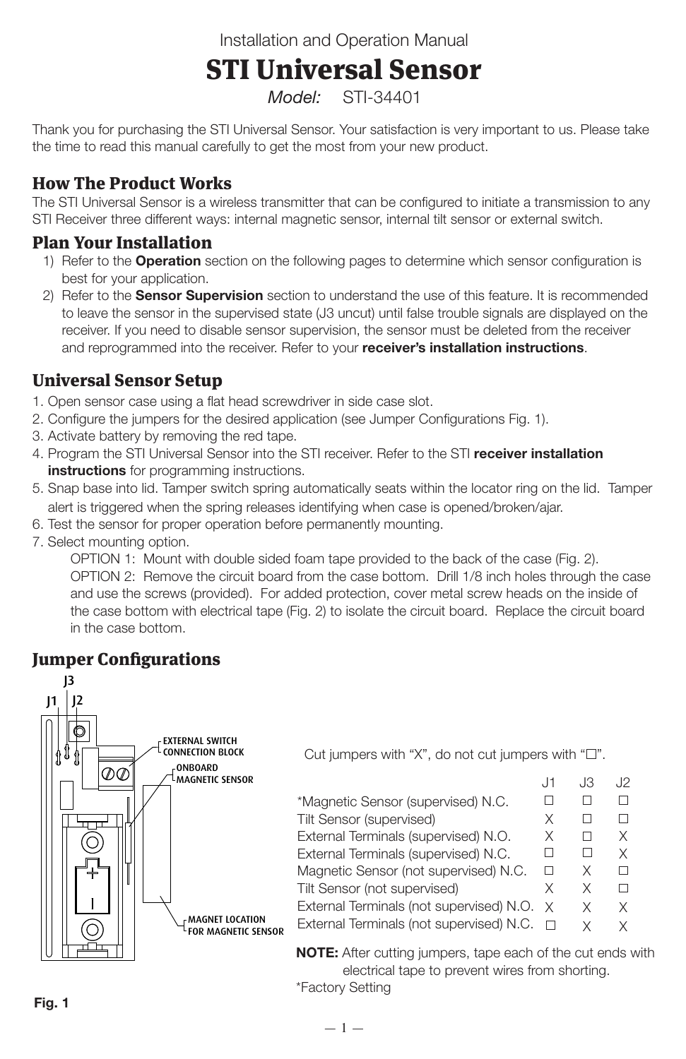Installation and Operation Manual

#### STI Universal Sensor APPROXIMATE GAP (1 INCH) APPROXIMATE GAP

*Model:* STI-34401 (GREATER THAN 1 1/3 INCHES)

Thank you for purchasing the STI Universal Sensor. Your satisfaction is very important to us. Please take the time to read this manual carefully to get the most from your new product.

# How The Product Works

The STI Universal Sensor is a wireless transmitter that can be configured to initiate a transmission to any STI Receiver three different ways: internal magnetic sensor, internal tilt sensor or external switch.

## Plan Your Installation

- 1) Refer to the **Operation** section on the following pages to determine which sensor configuration is best for your application.
- 2) Refer to the **Sensor Supervision** section to understand the use of this feature. It is recommended to leave the sensor in the supervised state (J3 uncut) until false trouble signals are displayed on the receiver. If you need to disable sensor supervision, the sensor must be deleted from the receiver and reprogrammed into the receiver. Refer to your **receiver's installation instructions**.

## Universal Sensor Setup

- 1. Open sensor case using a flat head screwdriver in side case slot.
- 2. Configure the jumpers for the desired application (see Jumper Configurations Fig. 1).
- 3. Activate battery by removing the red tape.
- 4. Program the STI Universal Sensor into the STI receiver. Refer to the STI **receiver installation instructions** for programming instructions.
- 5. Snap base into lid. Tamper switch spring automatically seats within the locator ring on the lid. Tamper alert is triggered when the spring releases identifying when case is opened/broken/ajar.
- 6. Test the sensor for proper operation before permanently mounting.
- 7. Select mounting option.

OPTION 1: Mount with double sided foam tape provided to the back of the case (Fig. 2). OPTION 2: Remove the circuit board from the case bottom. Drill 1/8 inch holes through the case and use the screws (provided). For added protection, cover metal screw heads on the inside of the case bottom with electrical tape (Fig. 2) to isolate the circuit board. Replace the circuit board in the case bottom.

## Jumper Configurations



\*Factory Setting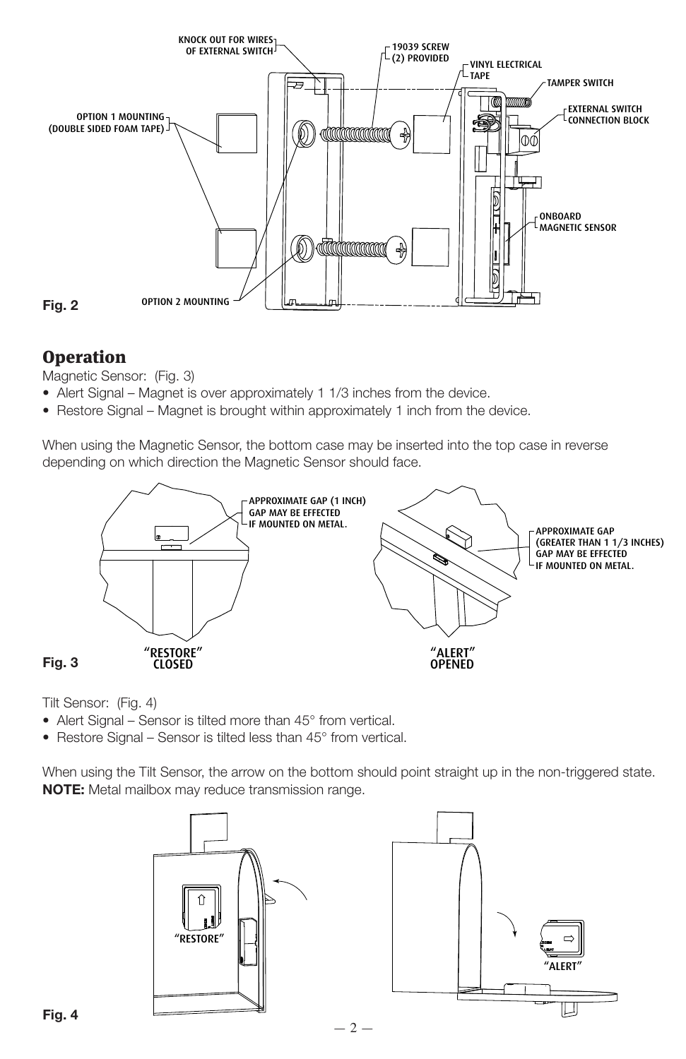

## **Operation**

Magnetic Sensor: (Fig. 3)

- Alert Signal Magnet is over approximately 1 1/3 inches from the device.
- Restore Signal Magnet is brought within approximately 1 inch from the device.

When using the Magnetic Sensor, the bottom case may be inserted into the top case in reverse depending on which direction the Magnetic Sensor should face.



Tilt Sensor: (Fig. 4)

- Alert Signal Sensor is tilted more than 45° from vertical.
- Restore Signal Sensor is tilted less than 45° from vertical.

When using the Tilt Sensor, the arrow on the bottom should point straight up in the non-triggered state. **NOTE:** Metal mailbox may reduce transmission range.



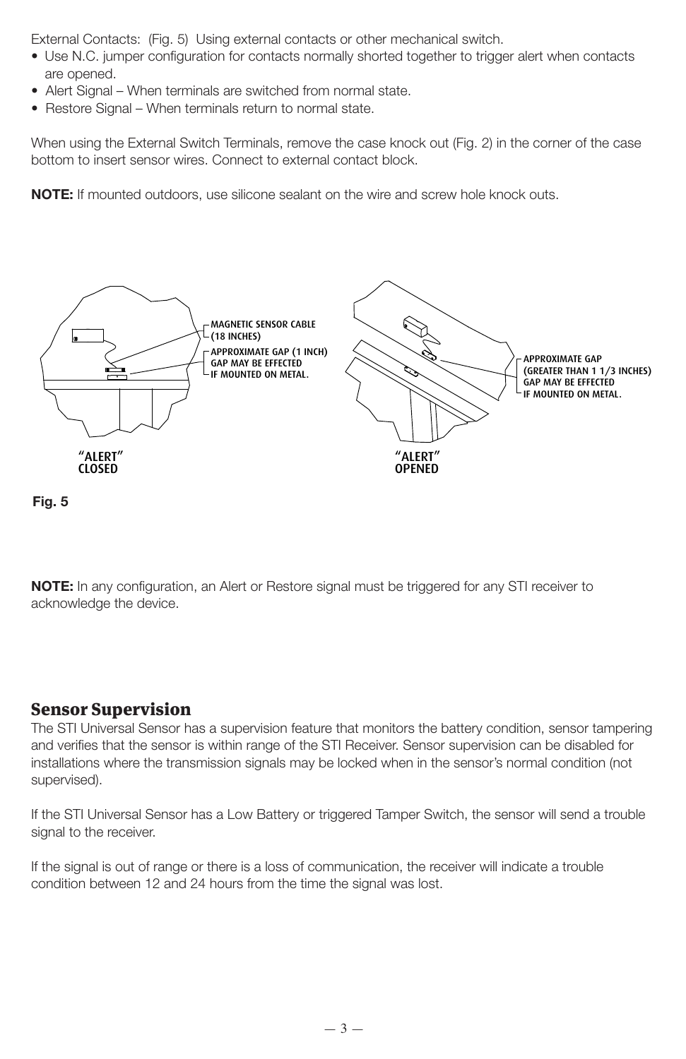External Contacts: (Fig. 5) Using external contacts or other mechanical switch.

- Use N.C. jumper configuration for contacts normally shorted together to trigger alert when contacts are opened.
- Alert Signal When terminals are switched from normal state.
- Restore Signal When terminals return to normal state.

When using the External Switch Terminals, remove the case knock out (Fig. 2) in the corner of the case bottom to insert sensor wires. Connect to external contact block.

NOTE: If mounted outdoors, use silicone sealant on the wire and screw hole knock outs.





**NOTE:** In any configuration, an Alert or Restore signal must be triggered for any STI receiver to acknowledge the device.

#### Sensor Supervision

The STI Universal Sensor has a supervision feature that monitors the battery condition, sensor tampering and verifies that the sensor is within range of the STI Receiver. Sensor supervision can be disabled for installations where the transmission signals may be locked when in the sensor's normal condition (not supervised).

If the STI Universal Sensor has a Low Battery or triggered Tamper Switch, the sensor will send a trouble signal to the receiver.

If the signal is out of range or there is a loss of communication, the receiver will indicate a trouble condition between 12 and 24 hours from the time the signal was lost.